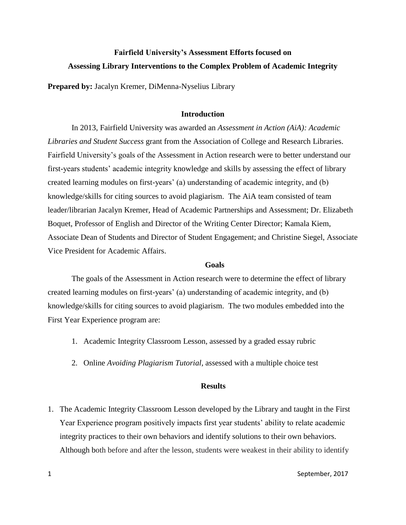# **Fairfield University's Assessment Efforts focused on Assessing Library Interventions to the Complex Problem of Academic Integrity**

**Prepared by:** Jacalyn Kremer, DiMenna-Nyselius Library

#### **Introduction**

In 2013, Fairfield University was awarded an *Assessment in Action (AiA): Academic Libraries and Student Success* grant from the Association of College and Research Libraries. Fairfield University's goals of the Assessment in Action research were to better understand our first-years students' academic integrity knowledge and skills by assessing the effect of library created learning modules on first-years' (a) understanding of academic integrity, and (b) knowledge/skills for citing sources to avoid plagiarism. The AiA team consisted of team leader/librarian Jacalyn Kremer, Head of Academic Partnerships and Assessment; Dr. Elizabeth Boquet, Professor of English and Director of the Writing Center Director; Kamala Kiem, Associate Dean of Students and Director of Student Engagement; and Christine Siegel, Associate Vice President for Academic Affairs.

#### **Goals**

The goals of the Assessment in Action research were to determine the effect of library created learning modules on first-years' (a) understanding of academic integrity, and (b) knowledge/skills for citing sources to avoid plagiarism. The two modules embedded into the First Year Experience program are:

- 1. Academic Integrity Classroom Lesson, assessed by a graded essay rubric
- 2. Online *Avoiding Plagiarism Tutorial*, assessed with a multiple choice test

#### **Results**

1. The Academic Integrity Classroom Lesson developed by the Library and taught in the First Year Experience program positively impacts first year students' ability to relate academic integrity practices to their own behaviors and identify solutions to their own behaviors. Although both before and after the lesson, students were weakest in their ability to identify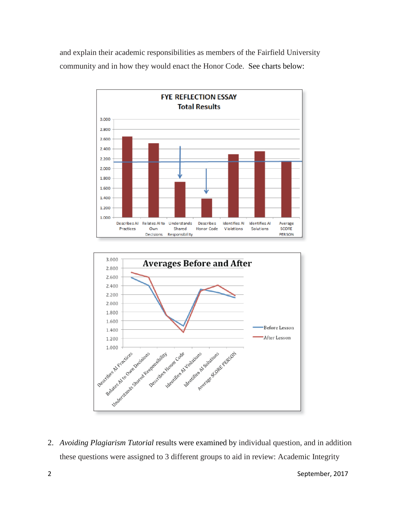and explain their academic responsibilities as members of the Fairfield University community and in how they would enact the Honor Code. See charts below:





2. *Avoiding Plagiarism Tutorial* results were examined by individual question, and in addition these questions were assigned to 3 different groups to aid in review: Academic Integrity

2 September, 2017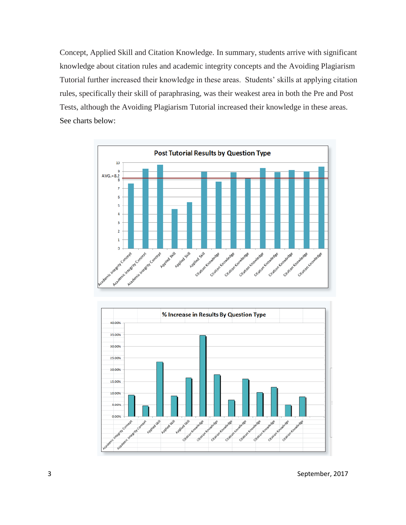Concept, Applied Skill and Citation Knowledge. In summary, students arrive with significant knowledge about citation rules and academic integrity concepts and the Avoiding Plagiarism Tutorial further increased their knowledge in these areas. Students' skills at applying citation rules, specifically their skill of paraphrasing, was their weakest area in both the Pre and Post Tests, although the Avoiding Plagiarism Tutorial increased their knowledge in these areas. See charts below:



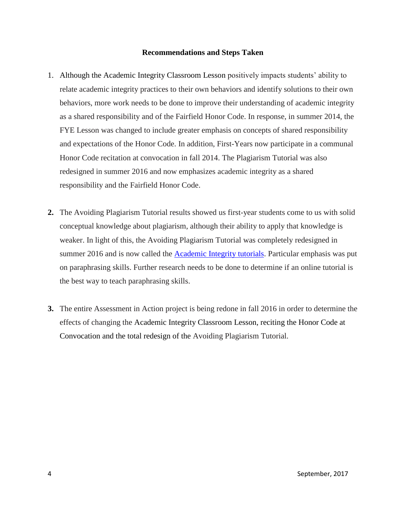#### **Recommendations and Steps Taken**

- 1. Although the Academic Integrity Classroom Lesson positively impacts students' ability to relate academic integrity practices to their own behaviors and identify solutions to their own behaviors, more work needs to be done to improve their understanding of academic integrity as a shared responsibility and of the Fairfield Honor Code. In response, in summer 2014, the FYE Lesson was changed to include greater emphasis on concepts of shared responsibility and expectations of the Honor Code. In addition, First-Years now participate in a communal Honor Code recitation at convocation in fall 2014. The Plagiarism Tutorial was also redesigned in summer 2016 and now emphasizes academic integrity as a shared responsibility and the Fairfield Honor Code.
- **2.** The Avoiding Plagiarism Tutorial results showed us first-year students come to us with solid conceptual knowledge about plagiarism, although their ability to apply that knowledge is weaker. In light of this, the Avoiding Plagiarism Tutorial was completely redesigned in summer 2016 and is now called the **Academic Integrity tutorials**. Particular emphasis was put on paraphrasing skills. Further research needs to be done to determine if an online tutorial is the best way to teach paraphrasing skills.
- **3.** The entire Assessment in Action project is being redone in fall 2016 in order to determine the effects of changing the Academic Integrity Classroom Lesson, reciting the Honor Code at Convocation and the total redesign of the Avoiding Plagiarism Tutorial.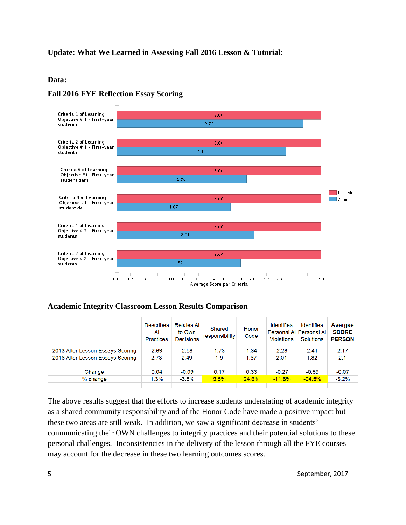# **Update: What We Learned in Assessing Fall 2016 Lesson & Tutorial:**

#### **Data:**



#### **Fall 2016 FYE Reflection Essay Scoring**

### **Academic Integrity Classroom Lesson Results Comparison**

|                                  | <b>Describes</b><br>Al<br><b>Practices</b> | <b>Relates Al</b><br>to Own<br><b>Decisions</b> | Shared<br>responsibility | Honor<br>Code | <b>Identifies</b><br><b>Violations</b> | Identifies<br>Personal Al Personal Al<br><b>Solutions</b> | Avergae<br><b>SCORE</b><br><b>PERSON</b> |
|----------------------------------|--------------------------------------------|-------------------------------------------------|--------------------------|---------------|----------------------------------------|-----------------------------------------------------------|------------------------------------------|
| 2013 After Lesson Essays Scoring | 2.69                                       | 2.58                                            | 1.73                     | 1.34          | 2.28                                   | 2.41                                                      | 2.17                                     |
| 2016 After Lesson Essays Scoring | 2.73                                       | 2.49                                            | 1.9                      | 1.67          | 2.01                                   | 1.82                                                      | 2.1                                      |
|                                  |                                            |                                                 |                          |               |                                        |                                                           |                                          |
| Change                           | 0.04                                       | $-0.09$                                         | 0.17                     | 0.33          | $-0.27$                                | $-0.59$                                                   | $-0.07$                                  |
| % change                         | 1.3%                                       | $-3.5%$                                         | 9.5%                     | 24.6%         | $-11.8%$                               | $-24.5%$                                                  | $-3.2%$                                  |
|                                  |                                            |                                                 |                          |               |                                        |                                                           |                                          |

The above results suggest that the efforts to increase students understating of academic integrity as a shared community responsibility and of the Honor Code have made a positive impact but these two areas are still weak. In addition, we saw a significant decrease in students' communicating their OWN challenges to integrity practices and their potential solutions to these personal challenges*.* Inconsistencies in the delivery of the lesson through all the FYE courses may account for the decrease in these two learning outcomes scores.